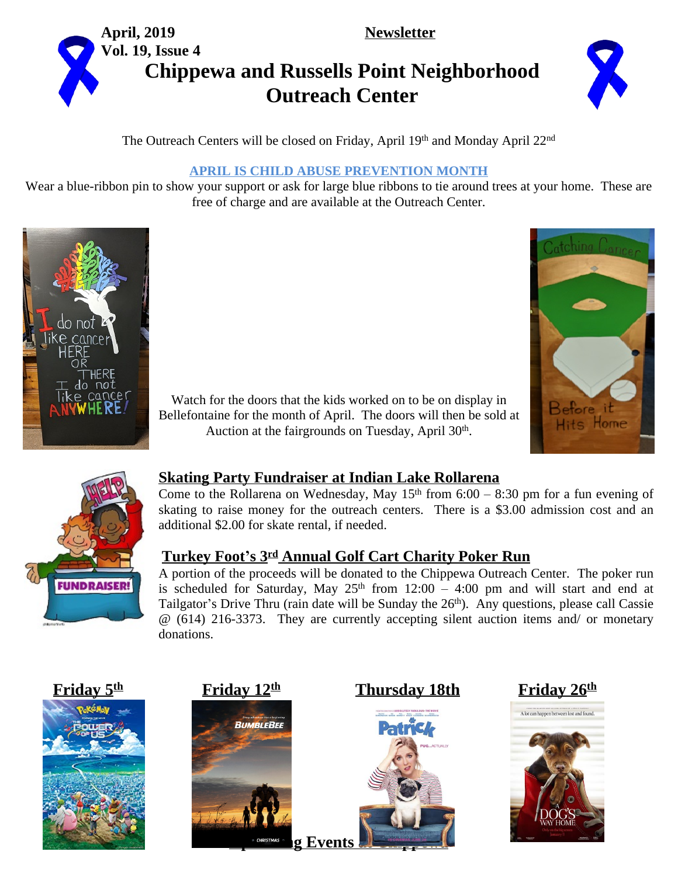



# **Chippewa and Russells Point Neighborhood Outreach Center**



The Outreach Centers will be closed on Friday, April 19th and Monday April 22<sup>nd</sup>

#### **APRIL IS CHILD ABUSE PREVENTION MONTH**

Wear a blue-ribbon pin to show your support or ask for large blue ribbons to tie around trees at your home. These are free of charge and are available at the Outreach Center.





Watch for the doors that the kids worked on to be on display in Bellefontaine for the month of April. The doors will then be sold at Auction at the fairgrounds on Tuesday, April 30<sup>th</sup>.



### **Skating Party Fundraiser at Indian Lake Rollarena**

Come to the Rollarena on Wednesday, May  $15<sup>th</sup>$  from 6:00 – 8:30 pm for a fun evening of skating to raise money for the outreach centers. There is a \$3.00 admission cost and an additional \$2.00 for skate rental, if needed.

### **Turkey Foot's 3 rd Annual Golf Cart Charity Poker Run**

A portion of the proceeds will be donated to the Chippewa Outreach Center. The poker run is scheduled for Saturday, May  $25<sup>th</sup>$  from  $12:00 - 4:00$  pm and will start and end at Tailgator's Drive Thru (rain date will be Sunday the 26<sup>th</sup>). Any questions, please call Cassie @ (614) 216-3373. They are currently accepting silent auction items and/ or monetary donations.